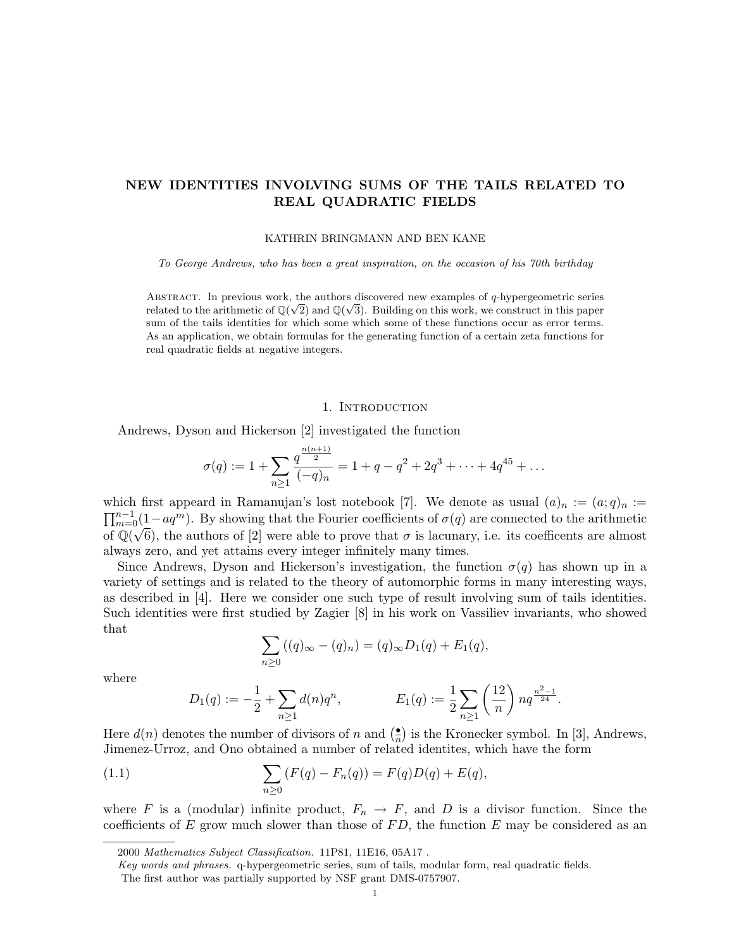# NEW IDENTITIES INVOLVING SUMS OF THE TAILS RELATED TO REAL QUADRATIC FIELDS

#### KATHRIN BRINGMANN AND BEN KANE

To George Andrews, who has been a great inspiration, on the occasion of his 70th birthday

ABSTRACT. In previous work, the authors discovered new examples of q-hypergeometric series related to the arithmetic of  $\mathbb{Q}(\sqrt{2})$  and  $\mathbb{Q}(\sqrt{3})$ . Building on this work, we construct in this paper sum of the tails identities for which some which some of these functions occur as error terms. As an application, we obtain formulas for the generating function of a certain zeta functions for real quadratic fields at negative integers.

### 1. Introduction

Andrews, Dyson and Hickerson [2] investigated the function

$$
\sigma(q) := 1 + \sum_{n \ge 1} \frac{q^{\frac{n(n+1)}{2}}}{(-q)_n} = 1 + q - q^2 + 2q^3 + \dots + 4q^{45} + \dots
$$

which first appeard in Ramanujan's lost notebook [7]. We denote as usual  $(a)_n := (a;q)_n :=$  $\prod_{m=0}^{n-1}(1-aq^m)$ . By showing that the Fourier coefficients of  $\sigma(q)$  are connected to the arithmetic of  $\mathbb{Q}(\sqrt{6})$ , the authors of [2] were able to prove that  $\sigma$  is lacunary, i.e. its coefficents are almost always zero, and yet attains every integer infinitely many times.

Since Andrews, Dyson and Hickerson's investigation, the function  $\sigma(q)$  has shown up in a variety of settings and is related to the theory of automorphic forms in many interesting ways, as described in [4]. Here we consider one such type of result involving sum of tails identities. Such identities were first studied by Zagier [8] in his work on Vassiliev invariants, who showed that

$$
\sum_{n\geq 0} ((q)_{\infty} - (q)_n) = (q)_{\infty} D_1(q) + E_1(q),
$$

where

$$
D_1(q) := -\frac{1}{2} + \sum_{n \ge 1} d(n)q^n, \qquad E_1(q) := \frac{1}{2} \sum_{n \ge 1} \left(\frac{12}{n}\right) n q^{\frac{n^2 - 1}{24}}.
$$

Here  $d(n)$  denotes the number of divisors of n and  $\left(\frac{\bullet}{n}\right)$  $\frac{1}{n}$ ) is the Kronecker symbol. In [3], Andrews, Jimenez-Urroz, and Ono obtained a number of related identites, which have the form

(1.1) 
$$
\sum_{n\geq 0} (F(q) - F_n(q)) = F(q)D(q) + E(q),
$$

where F is a (modular) infinite product,  $F_n \to F$ , and D is a divisor function. Since the coefficients of E grow much slower than those of  $FD$ , the function E may be considered as an

<sup>2000</sup> Mathematics Subject Classification. 11P81, 11E16, 05A17 .

Key words and phrases. q-hypergeometric series, sum of tails, modular form, real quadratic fields.

The first author was partially supported by NSF grant DMS-0757907.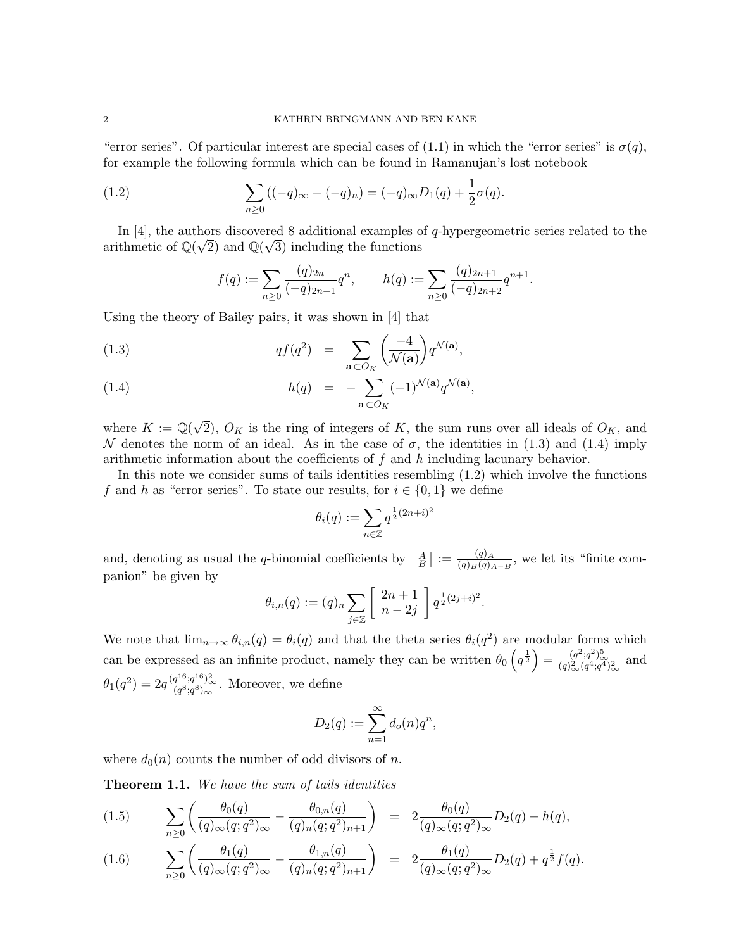"error series". Of particular interest are special cases of (1.1) in which the "error series" is  $\sigma(q)$ , for example the following formula which can be found in Ramanujan's lost notebook

(1.2) 
$$
\sum_{n\geq 0} ((-q)_{\infty} - (-q)_{n}) = (-q)_{\infty} D_{1}(q) + \frac{1}{2} \sigma(q).
$$

In [4], the authors discovered 8 additional examples of q-hypergeometric series related to the arithmetic of  $\mathbb{Q}(\sqrt{2})$  and  $\mathbb{Q}(\sqrt{3})$  including the functions

$$
f(q) := \sum_{n\geq 0} \frac{(q)_{2n}}{(-q)_{2n+1}} q^n, \qquad h(q) := \sum_{n\geq 0} \frac{(q)_{2n+1}}{(-q)_{2n+2}} q^{n+1}.
$$

Using the theory of Bailey pairs, it was shown in [4] that

(1.3) 
$$
q f(q^2) = \sum_{\mathbf{a} \subset O_K} \left( \frac{-4}{\mathcal{N}(\mathbf{a})} \right) q^{\mathcal{N}(\mathbf{a})},
$$

(1.4) 
$$
h(q) = -\sum_{\mathbf{a} \subset O_K} (-1)^{\mathcal{N}(\mathbf{a})} q^{\mathcal{N}(\mathbf{a})},
$$

where  $K := \mathbb{Q}(\sqrt{2})$ 2),  $O_K$  is the ring of integers of K, the sum runs over all ideals of  $O_K$ , and N denotes the norm of an ideal. As in the case of  $\sigma$ , the identities in (1.3) and (1.4) imply arithmetic information about the coefficients of  $f$  and  $h$  including lacunary behavior.

In this note we consider sums of tails identities resembling (1.2) which involve the functions f and h as "error series". To state our results, for  $i \in \{0,1\}$  we define

$$
\theta_i(q):=\sum_{n\in\mathbb{Z}}q^{\frac{1}{2}(2n+i)^2}
$$

and, denoting as usual the q-binomial coefficients by  $\begin{bmatrix} A \\ B \end{bmatrix} := \frac{(q)_A}{(q)_B(q)}$  $\frac{(q)_{A}}{(q)_{B}(q)_{A-B}}$ , we let its "finite companion" be given by

$$
\theta_{i,n}(q) := (q)_n \sum_{j \in \mathbb{Z}} \left[ \begin{array}{c} 2n+1 \\ n-2j \end{array} \right] q^{\frac{1}{2}(2j+i)^2}.
$$

We note that  $\lim_{n\to\infty} \theta_{i,n}(q) = \theta_i(q)$  and that the theta series  $\theta_i(q^2)$  are modular forms which can be expressed as an infinite product, namely they can be written  $\theta_0\left(q^{\frac{1}{2}}\right) = \frac{(q^2;q^2)_{\infty}^5}{(q)_{\infty}^2(q^4;q^4)_{\infty}^2}$  and  $\theta_1(q^2) = 2q \frac{(q^{16};q^{16})^2_{\infty}}{(q^8;q^8)_{\infty}}$ . Moreover, we define

$$
D_2(q) := \sum_{n=1}^{\infty} d_o(n) q^n,
$$

where  $d_0(n)$  counts the number of odd divisors of n.

Theorem 1.1. We have the sum of tails identities

$$
(1.5) \qquad \sum_{n\geq 0} \left( \frac{\theta_0(q)}{(q)_{\infty}(q;q^2)_{\infty}} - \frac{\theta_{0,n}(q)}{(q)_n(q;q^2)_{n+1}} \right) = 2 \frac{\theta_0(q)}{(q)_{\infty}(q;q^2)_{\infty}} D_2(q) - h(q),
$$

$$
(1.6) \qquad \sum_{n\geq 0} \left( \frac{\theta_1(q)}{(q)_{\infty}(q;q^2)_{\infty}} - \frac{\theta_{1,n}(q)}{(q)_n(q;q^2)_{n+1}} \right) = 2 \frac{\theta_1(q)}{(q)_{\infty}(q;q^2)_{\infty}} D_2(q) + q^{\frac{1}{2}} f(q).
$$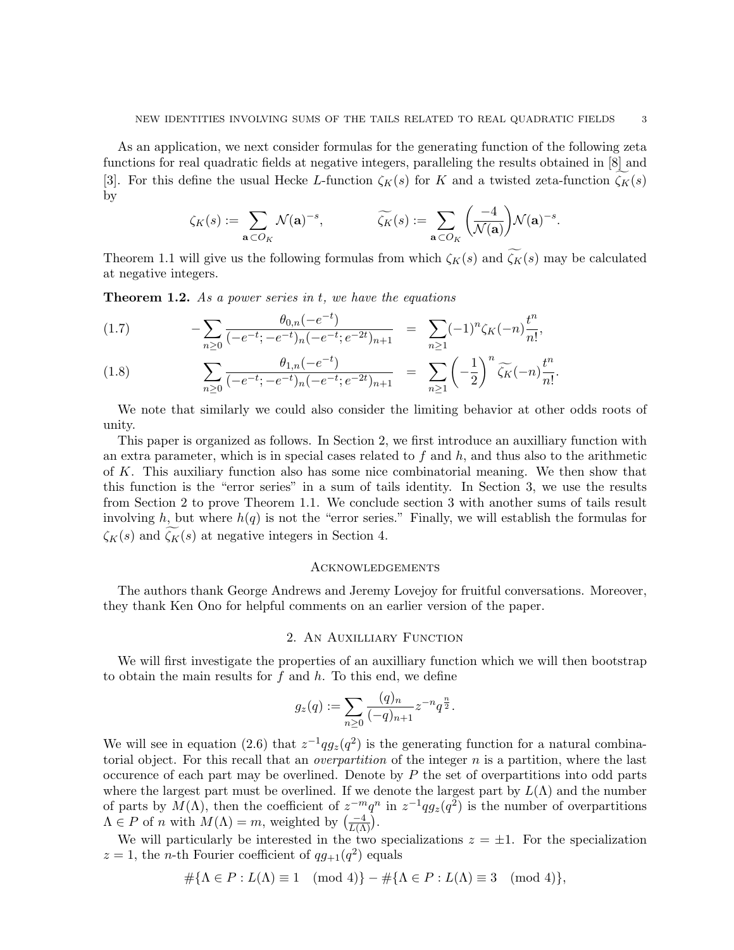As an application, we next consider formulas for the generating function of the following zeta functions for real quadratic fields at negative integers, paralleling the results obtained in [8] and [3]. For this define the usual Hecke L-function  $\zeta_K(s)$  for K and a twisted zeta-function  $\zeta_K(s)$ by

$$
\zeta_K(s) := \sum_{\mathbf{a} \subset O_K} \mathcal{N}(\mathbf{a})^{-s}, \qquad \widetilde{\zeta_K}(s) := \sum_{\mathbf{a} \subset O_K} \left( \frac{-4}{\mathcal{N}(\mathbf{a})} \right) \mathcal{N}(\mathbf{a})^{-s}.
$$

Theorem 1.1 will give us the following formulas from which  $\zeta_K(s)$  and  $\widetilde{\zeta_K}(s)$  may be calculated at negative integers.

**Theorem 1.2.** As a power series in  $t$ , we have the equations

(1.7) 
$$
- \sum_{n\geq 0} \frac{\theta_{0,n}(-e^{-t})}{(-e^{-t};-e^{-t})_n(-e^{-t};e^{-2t})_{n+1}} = \sum_{n\geq 1} (-1)^n \zeta_K(-n) \frac{t^n}{n!},
$$

(1.8) 
$$
\sum_{n\geq 0} \frac{\theta_{1,n}(-e^{-t})}{(-e^{-t};-e^{-t})_n(-e^{-t};e^{-2t})_{n+1}} = \sum_{n\geq 1} \left(-\frac{1}{2}\right)^n \widetilde{\zeta_K}(-n) \frac{t^n}{n!}.
$$

We note that similarly we could also consider the limiting behavior at other odds roots of unity.

This paper is organized as follows. In Section 2, we first introduce an auxilliary function with an extra parameter, which is in special cases related to  $f$  and  $h$ , and thus also to the arithmetic of K. This auxiliary function also has some nice combinatorial meaning. We then show that this function is the "error series" in a sum of tails identity. In Section 3, we use the results from Section 2 to prove Theorem 1.1. We conclude section 3 with another sums of tails result involving h, but where  $h(q)$  is not the "error series." Finally, we will establish the formulas for  $\zeta_K(s)$  and  $\zeta_K(s)$  at negative integers in Section 4.

### **ACKNOWLEDGEMENTS**

The authors thank George Andrews and Jeremy Lovejoy for fruitful conversations. Moreover, they thank Ken Ono for helpful comments on an earlier version of the paper.

### 2. An Auxilliary Function

We will first investigate the properties of an auxilliary function which we will then bootstrap to obtain the main results for  $f$  and  $h$ . To this end, we define

$$
g_z(q) := \sum_{n \geq 0} \frac{(q)_n}{(-q)_{n+1}} z^{-n} q^{\frac{n}{2}}.
$$

We will see in equation (2.6) that  $z^{-1}qg_z(q^2)$  is the generating function for a natural combinatorial object. For this recall that an *overpartition* of the integer  $n$  is a partition, where the last occurence of each part may be overlined. Denote by  $P$  the set of overpartitions into odd parts where the largest part must be overlined. If we denote the largest part by  $L(\Lambda)$  and the number of parts by  $M(\Lambda)$ , then the coefficient of  $z^{-m}q^n$  in  $z^{-1}qg_z(q^2)$  is the number of overpartitions  $\Lambda \in P$  of n with  $M(\Lambda) = m$ , weighted by  $\left(\frac{-4}{L(\Lambda)}\right)$ .

We will particularly be interested in the two specializations  $z = \pm 1$ . For the specialization  $z = 1$ , the *n*-th Fourier coefficient of  $qg_{+1}(q^2)$  equals

$$
\#\{\Lambda \in P : L(\Lambda) \equiv 1 \pmod{4}\} - \#\{\Lambda \in P : L(\Lambda) \equiv 3 \pmod{4}\},\
$$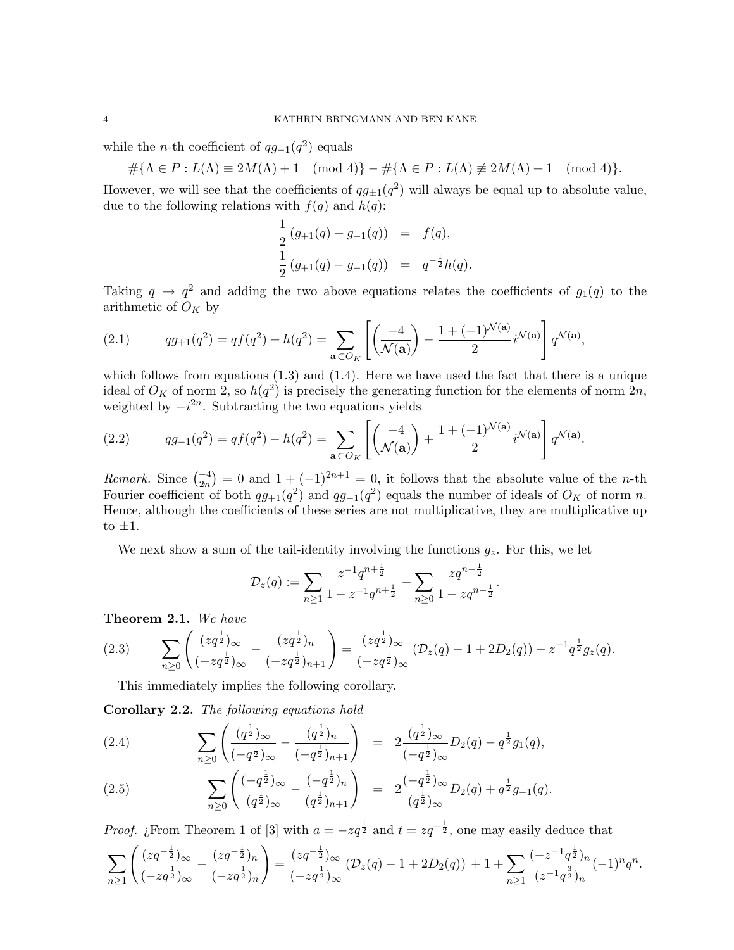while the *n*-th coefficient of  $qg_{-1}(q^2)$  equals

$$
\#\{\Lambda \in P : L(\Lambda) \equiv 2M(\Lambda) + 1 \pmod{4}\} - \#\{\Lambda \in P : L(\Lambda) \not\equiv 2M(\Lambda) + 1 \pmod{4}\}.
$$

However, we will see that the coefficients of  $qg_{\pm 1}(q^2)$  will always be equal up to absolute value, due to the following relations with  $f(q)$  and  $h(q)$ :

$$
\frac{1}{2} (g_{+1}(q) + g_{-1}(q)) = f(q),
$$
  

$$
\frac{1}{2} (g_{+1}(q) - g_{-1}(q)) = q^{-\frac{1}{2}} h(q).
$$

Taking  $q \to q^2$  and adding the two above equations relates the coefficients of  $g_1(q)$  to the arithmetic of  $O_K$  by

(2.1) 
$$
qg_{+1}(q^2) = qf(q^2) + h(q^2) = \sum_{\mathbf{a} \subset O_K} \left[ \left( \frac{-4}{\mathcal{N}(\mathbf{a})} \right) - \frac{1 + (-1)^{\mathcal{N}(\mathbf{a})}}{2} i^{\mathcal{N}(\mathbf{a})} \right] q^{\mathcal{N}(\mathbf{a})},
$$

which follows from equations  $(1.3)$  and  $(1.4)$ . Here we have used the fact that there is a unique ideal of  $O_K$  of norm 2, so  $h(q^2)$  is precisely the generating function for the elements of norm  $2n$ , weighted by  $-i^{2n}$ . Subtracting the two equations yields

(2.2) 
$$
qg_{-1}(q^2) = qf(q^2) - h(q^2) = \sum_{\mathbf{a} \subset O_K} \left[ \left( \frac{-4}{\mathcal{N}(\mathbf{a})} \right) + \frac{1 + (-1)^{\mathcal{N}(\mathbf{a})}}{2} i^{\mathcal{N}(\mathbf{a})} \right] q^{\mathcal{N}(\mathbf{a})}.
$$

*Remark.* Since  $\left(\frac{-4}{2n}\right) = 0$  and  $1 + (-1)^{2n+1} = 0$ , it follows that the absolute value of the *n*-th Fourier coefficient of both  $qg_{+1}(q^2)$  and  $qg_{-1}(q^2)$  equals the number of ideals of  $O_K$  of norm n. Hence, although the coefficients of these series are not multiplicative, they are multiplicative up to  $\pm 1$ .

We next show a sum of the tail-identity involving the functions  $g_z$ . For this, we let

$$
\mathcal{D}_z(q) := \sum_{n \geq 1} \frac{z^{-1} q^{n + \frac{1}{2}}}{1 - z^{-1} q^{n + \frac{1}{2}}} - \sum_{n \geq 0} \frac{z q^{n - \frac{1}{2}}}{1 - z q^{n - \frac{1}{2}}}.
$$

Theorem 2.1. We have

$$
(2.3) \qquad \sum_{n\geq 0} \left( \frac{(zq^{\frac{1}{2}})_{\infty}}{(-zq^{\frac{1}{2}})_{\infty}} - \frac{(zq^{\frac{1}{2}})_{n}}{(-zq^{\frac{1}{2}})_{n+1}} \right) = \frac{(zq^{\frac{1}{2}})_{\infty}}{(-zq^{\frac{1}{2}})_{\infty}} \left( \mathcal{D}_z(q) - 1 + 2D_2(q) \right) - z^{-1}q^{\frac{1}{2}}g_z(q).
$$

This immediately implies the following corollary.

Corollary 2.2. The following equations hold

(2.4) 
$$
\sum_{n\geq 0} \left( \frac{(q^{\frac{1}{2}})_{\infty}}{(-q^{\frac{1}{2}})_{\infty}} - \frac{(q^{\frac{1}{2}})_{n}}{(-q^{\frac{1}{2}})_{n+1}} \right) = 2 \frac{(q^{\frac{1}{2}})_{\infty}}{(-q^{\frac{1}{2}})_{\infty}} D_2(q) - q^{\frac{1}{2}} g_1(q),
$$

(2.5) 
$$
\sum_{n\geq 0} \left( \frac{(-q^{\frac{1}{2}})_{\infty}}{(q^{\frac{1}{2}})_{\infty}} - \frac{(-q^{\frac{1}{2}})_{n}}{(q^{\frac{1}{2}})_{n+1}} \right) = 2 \frac{(-q^{\frac{1}{2}})_{\infty}}{(q^{\frac{1}{2}})_{\infty}} D_2(q) + q^{\frac{1}{2}} g_{-1}(q).
$$

*Proof.* ¿From Theorem 1 of [3] with  $a = -zq^{\frac{1}{2}}$  and  $t = zq^{-\frac{1}{2}}$ , one may easily deduce that

$$
\sum_{n\geq 1}\left(\frac{(zq^{-\frac{1}{2}})_{\infty}}{(-zq^{\frac{1}{2}})_{\infty}}-\frac{(zq^{-\frac{1}{2}})_{n}}{(-zq^{\frac{1}{2}})_{n}}\right)=\frac{(zq^{-\frac{1}{2}})_{\infty}}{(-zq^{\frac{1}{2}})_{\infty}}\left(\mathcal{D}_z(q)-1+2\mathcal{D}_2(q)\right)+1+\sum_{n\geq 1}\frac{(-z^{-1}q^{\frac{1}{2}})_{n}}{(z^{-1}q^{\frac{3}{2}})_{n}}(-1)^n q^n.
$$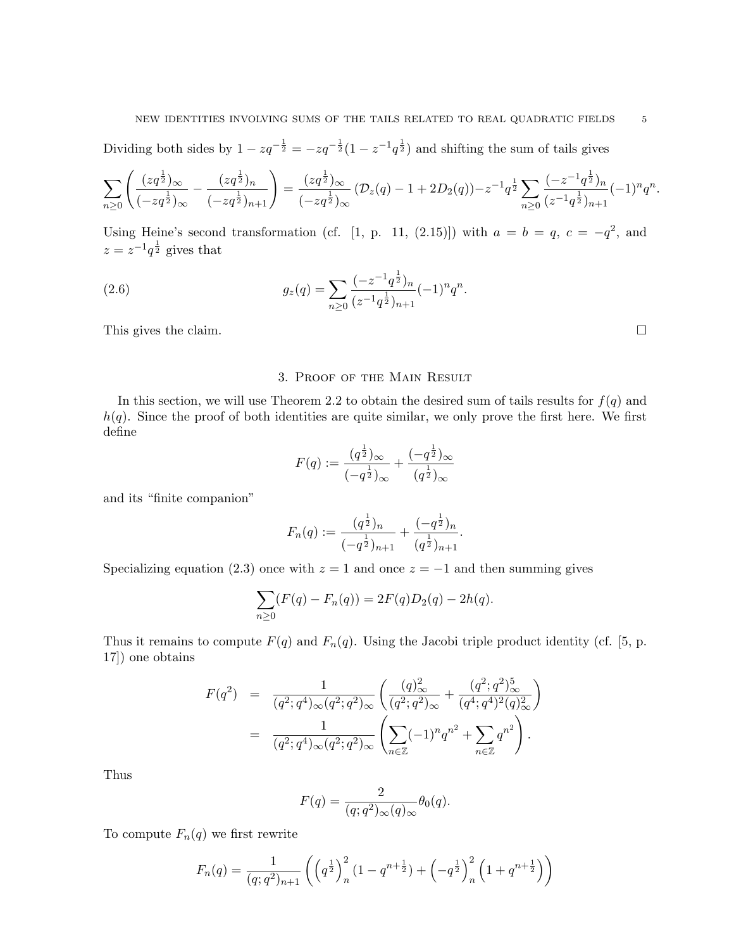### NEW IDENTITIES INVOLVING SUMS OF THE TAILS RELATED TO REAL QUADRATIC FIELDS  $\qquad \ \ \, 5$

Dividing both sides by  $1 - zq^{-\frac{1}{2}} = -zq^{-\frac{1}{2}}(1 - z^{-1}q^{\frac{1}{2}})$  and shifting the sum of tails gives

$$
\sum_{n\geq 0} \left( \frac{(zq^{\frac{1}{2}})_{\infty}}{(-zq^{\frac{1}{2}})_{\infty}} - \frac{(zq^{\frac{1}{2}})_{n}}{(-zq^{\frac{1}{2}})_{n+1}} \right) = \frac{(zq^{\frac{1}{2}})_{\infty}}{(-zq^{\frac{1}{2}})_{\infty}} \left( \mathcal{D}_z(q) - 1 + 2\mathcal{D}_2(q) \right) - z^{-1}q^{\frac{1}{2}} \sum_{n\geq 0} \frac{(-z^{-1}q^{\frac{1}{2}})_{n}}{(z^{-1}q^{\frac{1}{2}})_{n+1}} (-1)^n q^n.
$$

Using Heine's second transformation (cf. [1, p. 11, (2.15)]) with  $a = b = q$ ,  $c = -q^2$ , and  $z = z^{-1}q^{\frac{1}{2}}$  gives that

(2.6) 
$$
g_z(q) = \sum_{n\geq 0} \frac{(-z^{-1}q^{\frac{1}{2}})_n}{(z^{-1}q^{\frac{1}{2}})_{n+1}} (-1)^n q^n.
$$

This gives the claim.  $\square$ 

### 3. Proof of the Main Result

In this section, we will use Theorem 2.2 to obtain the desired sum of tails results for  $f(q)$  and  $h(q)$ . Since the proof of both identities are quite similar, we only prove the first here. We first define

$$
F(q) := \frac{(q^{\frac{1}{2}})_{\infty}}{(-q^{\frac{1}{2}})_{\infty}} + \frac{(-q^{\frac{1}{2}})_{\infty}}{(q^{\frac{1}{2}})_{\infty}}
$$

and its "finite companion"

$$
F_n(q) := \frac{(q^{\frac{1}{2}})_n}{(-q^{\frac{1}{2}})_{n+1}} + \frac{(-q^{\frac{1}{2}})_n}{(q^{\frac{1}{2}})_{n+1}}.
$$

Specializing equation (2.3) once with  $z = 1$  and once  $z = -1$  and then summing gives

$$
\sum_{n\geq 0} (F(q) - F_n(q)) = 2F(q)D_2(q) - 2h(q).
$$

Thus it remains to compute  $F(q)$  and  $F_n(q)$ . Using the Jacobi triple product identity (cf. [5, p. 17]) one obtains

$$
F(q^2) = \frac{1}{(q^2;q^4)_{\infty}(q^2;q^2)_{\infty}} \left( \frac{(q)_{\infty}^2}{(q^2;q^2)_{\infty}} + \frac{(q^2;q^2)_{\infty}^5}{(q^4;q^4)^2(q)_{\infty}^2} \right)
$$
  
= 
$$
\frac{1}{(q^2;q^4)_{\infty}(q^2;q^2)_{\infty}} \left( \sum_{n \in \mathbb{Z}} (-1)^n q^{n^2} + \sum_{n \in \mathbb{Z}} q^{n^2} \right).
$$

Thus

$$
F(q) = \frac{2}{(q;q^2)_{\infty}(q)_{\infty}} \theta_0(q).
$$

To compute  $F_n(q)$  we first rewrite

$$
F_n(q) = \frac{1}{(q;q^2)_{n+1}} \left( \left( q^{\frac{1}{2}} \right)_n^2 \left( 1 - q^{n + \frac{1}{2}} \right) + \left( -q^{\frac{1}{2}} \right)_n^2 \left( 1 + q^{n + \frac{1}{2}} \right) \right)
$$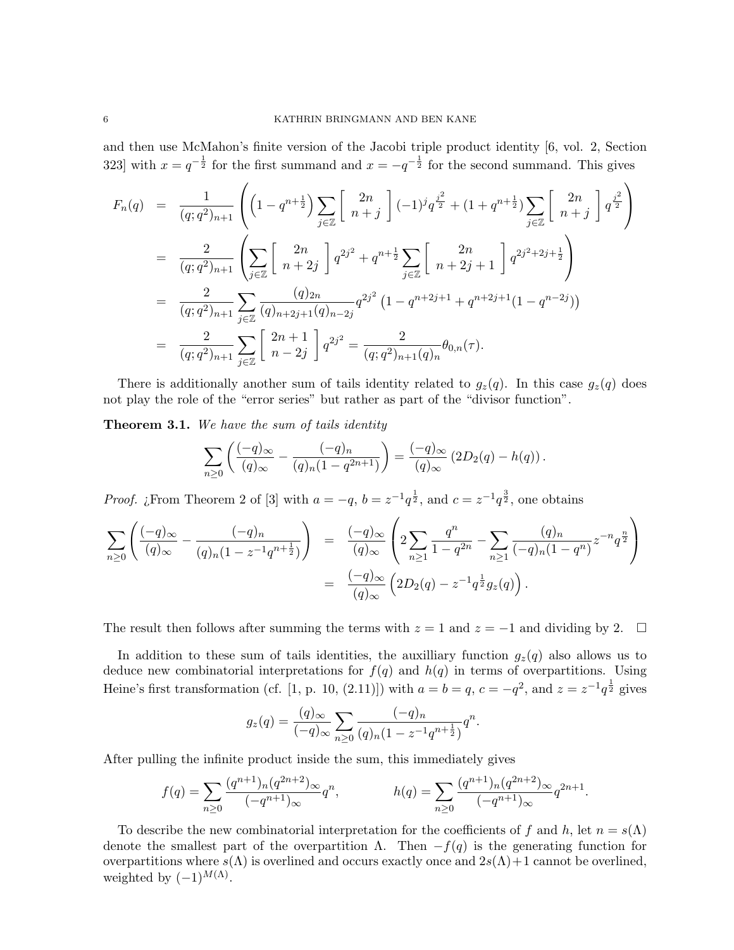and then use McMahon's finite version of the Jacobi triple product identity [6, vol. 2, Section 323] with  $x = q^{-\frac{1}{2}}$  for the first summand and  $x = -q^{-\frac{1}{2}}$  for the second summand. This gives

$$
F_n(q) = \frac{1}{(q;q^2)_{n+1}} \left( \left(1 - q^{n+\frac{1}{2}}\right) \sum_{j \in \mathbb{Z}} \left[ \begin{array}{c} 2n \\ n+j \end{array} \right] (-1)^j q^{\frac{j^2}{2}} + (1 + q^{n+\frac{1}{2}}) \sum_{j \in \mathbb{Z}} \left[ \begin{array}{c} 2n \\ n+j \end{array} \right] q^{\frac{j^2}{2}} \right)
$$
  
\n
$$
= \frac{2}{(q;q^2)_{n+1}} \left( \sum_{j \in \mathbb{Z}} \left[ \begin{array}{c} 2n \\ n+2j \end{array} \right] q^{2j^2} + q^{n+\frac{1}{2}} \sum_{j \in \mathbb{Z}} \left[ \begin{array}{c} 2n \\ n+2j+1 \end{array} \right] q^{2j^2+2j+\frac{1}{2}} \right)
$$
  
\n
$$
= \frac{2}{(q;q^2)_{n+1}} \sum_{j \in \mathbb{Z}} \frac{(q)_{2n}}{(q)_{n+2j+1}(q)_{n-2j}} q^{2j^2} \left(1 - q^{n+2j+1} + q^{n+2j+1}(1 - q^{n-2j})\right)
$$
  
\n
$$
= \frac{2}{(q;q^2)_{n+1}} \sum_{j \in \mathbb{Z}} \left[ \begin{array}{c} 2n+1 \\ n-2j \end{array} \right] q^{2j^2} = \frac{2}{(q;q^2)_{n+1}(q)_n} \theta_{0,n}(\tau).
$$

There is additionally another sum of tails identity related to  $g_z(q)$ . In this case  $g_z(q)$  does not play the role of the "error series" but rather as part of the "divisor function".

**Theorem 3.1.** We have the sum of tails identity

$$
\sum_{n\geq 0} \left( \frac{(-q)_{\infty}}{(q)_{\infty}} - \frac{(-q)_{n}}{(q)_{n}(1-q^{2n+1})} \right) = \frac{(-q)_{\infty}}{(q)_{\infty}} (2D_{2}(q) - h(q)).
$$

*Proof. i* From Theorem 2 of [3] with  $a = -q$ ,  $b = z^{-1}q^{\frac{1}{2}}$ , and  $c = z^{-1}q^{\frac{3}{2}}$ , one obtains

$$
\sum_{n\geq 0} \left( \frac{(-q)_{\infty}}{(q)_{\infty}} - \frac{(-q)_{n}}{(q)_{n}(1-z^{-1}q^{n+\frac{1}{2}})} \right) = \frac{(-q)_{\infty}}{(q)_{\infty}} \left( 2 \sum_{n\geq 1} \frac{q^{n}}{1-q^{2n}} - \sum_{n\geq 1} \frac{(q)_{n}}{(-q)_{n}(1-q^{n})} z^{-n} q^{\frac{n}{2}} \right)
$$

$$
= \frac{(-q)_{\infty}}{(q)_{\infty}} \left( 2D_{2}(q) - z^{-1} q^{\frac{1}{2}} g_{z}(q) \right).
$$

The result then follows after summing the terms with  $z = 1$  and  $z = -1$  and dividing by 2.  $\square$ 

In addition to these sum of tails identities, the auxilliary function  $g_z(q)$  also allows us to deduce new combinatorial interpretations for  $f(q)$  and  $h(q)$  in terms of overpartitions. Using Heine's first transformation (cf. [1, p. 10, (2.11)]) with  $a = b = q$ ,  $c = -q^2$ , and  $z = z^{-1}q^{\frac{1}{2}}$  gives

$$
g_z(q) = \frac{(q)_{\infty}}{(-q)_{\infty}} \sum_{n \ge 0} \frac{(-q)_n}{(q)_n (1 - z^{-1} q^{n + \frac{1}{2}})} q^n.
$$

After pulling the infinite product inside the sum, this immediately gives

$$
f(q) = \sum_{n\geq 0} \frac{(q^{n+1})_n (q^{2n+2})_\infty}{(-q^{n+1})_\infty} q^n, \qquad h(q) = \sum_{n\geq 0} \frac{(q^{n+1})_n (q^{2n+2})_\infty}{(-q^{n+1})_\infty} q^{2n+1}.
$$

To describe the new combinatorial interpretation for the coefficients of f and h, let  $n = s(\Lambda)$ denote the smallest part of the overpartition  $\Lambda$ . Then  $-f(q)$  is the generating function for overpartitions where  $s(\Lambda)$  is overlined and occurs exactly once and  $2s(\Lambda)+1$  cannot be overlined, weighted by  $(-1)^{M(\Lambda)}$ .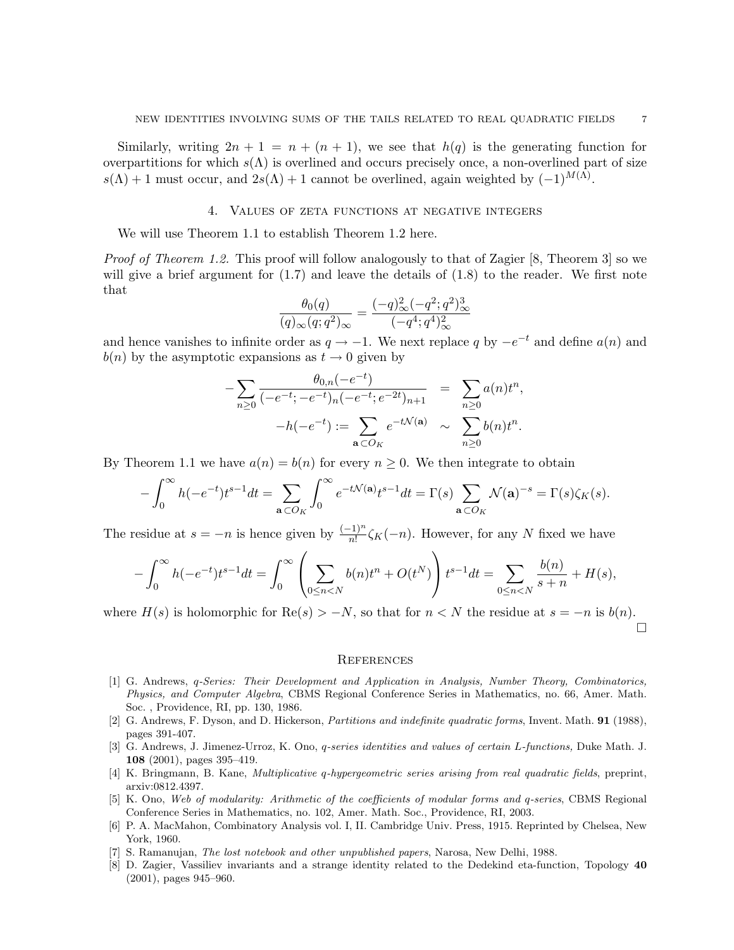Similarly, writing  $2n + 1 = n + (n + 1)$ , we see that  $h(q)$  is the generating function for overpartitions for which  $s(\Lambda)$  is overlined and occurs precisely once, a non-overlined part of size  $s(\Lambda) + 1$  must occur, and  $2s(\Lambda) + 1$  cannot be overlined, again weighted by  $(-1)^{M(\Lambda)}$ .

### 4. Values of zeta functions at negative integers

We will use Theorem 1.1 to establish Theorem 1.2 here.

*Proof of Theorem 1.2.* This proof will follow analogously to that of Zagier [8, Theorem 3] so we will give a brief argument for  $(1.7)$  and leave the details of  $(1.8)$  to the reader. We first note that

$$
\frac{\theta_0(q)}{(q)_{\infty}(q;q^2)_{\infty}} = \frac{(-q)_{\infty}^2(-q^2;q^2)_{\infty}^3}{(-q^4;q^4)_{\infty}^2}
$$

and hence vanishes to infinite order as  $q \to -1$ . We next replace q by  $-e^{-t}$  and define  $a(n)$  and  $b(n)$  by the asymptotic expansions as  $t \to 0$  given by

$$
-\sum_{n\geq 0} \frac{\theta_{0,n}(-e^{-t})}{(-e^{-t};-e^{-t})_n(-e^{-t};e^{-2t})_{n+1}} = \sum_{n\geq 0} a(n)t^n,
$$
  

$$
-h(-e^{-t}) := \sum_{\mathbf{a}\subset O_K} e^{-t\mathcal{N}(\mathbf{a})} \sim \sum_{n\geq 0} b(n)t^n.
$$

By Theorem 1.1 we have  $a(n) = b(n)$  for every  $n \geq 0$ . We then integrate to obtain

$$
-\int_0^\infty h(-e^{-t})t^{s-1}dt = \sum_{\mathbf{a}\subset O_K}\int_0^\infty e^{-t\mathcal{N}(\mathbf{a})}t^{s-1}dt = \Gamma(s)\sum_{\mathbf{a}\subset O_K}\mathcal{N}(\mathbf{a})^{-s} = \Gamma(s)\zeta_K(s).
$$

The residue at  $s = -n$  is hence given by  $\frac{(-1)^n}{n!} \zeta_K(-n)$ . However, for any N fixed we have

$$
-\int_0^\infty h(-e^{-t})t^{s-1}dt = \int_0^\infty \left(\sum_{0 \le n < N} b(n)t^n + O(t^N)\right)t^{s-1}dt = \sum_{0 \le n < N} \frac{b(n)}{s+n} + H(s),
$$

where  $H(s)$  is holomorphic for  $\text{Re}(s) > -N$ , so that for  $n < N$  the residue at  $s = -n$  is  $b(n)$ .  $\Box$ 

#### **REFERENCES**

- [1] G. Andrews, q-Series: Their Development and Application in Analysis, Number Theory, Combinatorics, Physics, and Computer Algebra, CBMS Regional Conference Series in Mathematics, no. 66, Amer. Math. Soc. , Providence, RI, pp. 130, 1986.
- [2] G. Andrews, F. Dyson, and D. Hickerson, Partitions and indefinite quadratic forms, Invent. Math. 91 (1988), pages 391-407.
- [3] G. Andrews, J. Jimenez-Urroz, K. Ono, q-series identities and values of certain L-functions, Duke Math. J. 108 (2001), pages 395–419.
- [4] K. Bringmann, B. Kane, Multiplicative q-hypergeometric series arising from real quadratic fields, preprint, arxiv:0812.4397.
- [5] K. Ono, Web of modularity: Arithmetic of the coefficients of modular forms and q-series, CBMS Regional Conference Series in Mathematics, no. 102, Amer. Math. Soc., Providence, RI, 2003.
- [6] P. A. MacMahon, Combinatory Analysis vol. I, II. Cambridge Univ. Press, 1915. Reprinted by Chelsea, New York, 1960.
- [7] S. Ramanujan, The lost notebook and other unpublished papers, Narosa, New Delhi, 1988.
- [8] D. Zagier, Vassiliev invariants and a strange identity related to the Dedekind eta-function, Topology 40 (2001), pages 945–960.